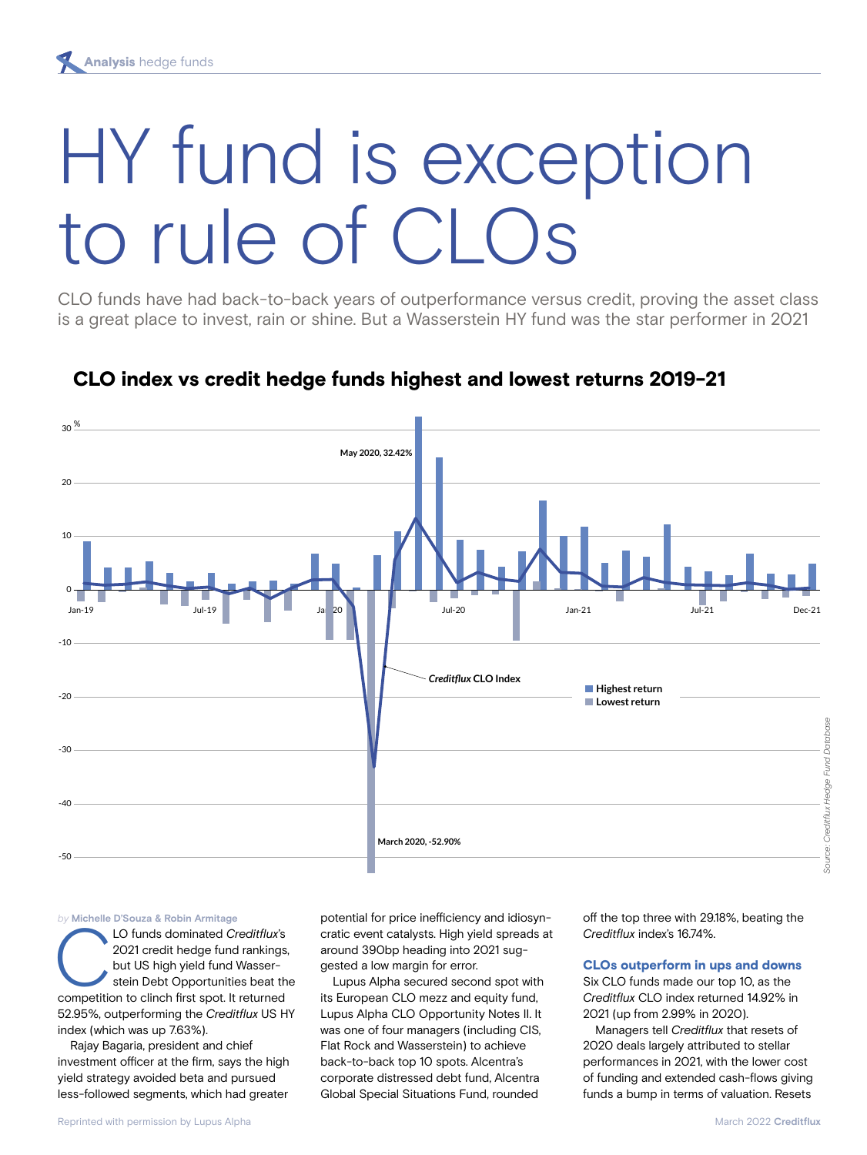# HY fund is exception to rule of CLOs

CLO funds have had back-to-back years of outperformance versus credit, proving the asset class is a great place to invest, rain or shine. But a Wasserstein HY fund was the star performer in 2021



# CLO index vs credit hedge funds highest and lowest returns 2019-21

#### *by* **Michelle D'Souza & Robin Armitage**

CLO funds dominated *Creditflux*'s 2021 credit hedge fund rankings, but US high yield fund Wasserstein Debt Opportunities beat the competition to clinch first spot. It returned 52.95%, outperforming the *Creditflux* US HY index (which was up 7.63%).

Rajay Bagaria, president and chief investment officer at the firm, says the high yield strategy avoided beta and pursued less-followed segments, which had greater

potential for price inefficiency and idiosyncratic event catalysts. High yield spreads at around 390bp heading into 2021 suggested a low margin for error.

Lupus Alpha secured second spot with its European CLO mezz and equity fund, Lupus Alpha CLO Opportunity Notes II. It was one of four managers (including CIS, Flat Rock and Wasserstein) to achieve back-to-back top 10 spots. Alcentra's corporate distressed debt fund, Alcentra Global Special Situations Fund, rounded

off the top three with 29.18%, beating the *Creditflux* index's 16.74%.

#### CLOs outperform in ups and downs

Six CLO funds made our top 10, as the *Creditflux* CLO index returned 14.92% in 2021 (up from 2.99% in 2020).

Managers tell *Creditflux* that resets of 2020 deals largely attributed to stellar performances in 2021, with the lower cost of funding and extended cash-flows giving funds a bump in terms of valuation. Resets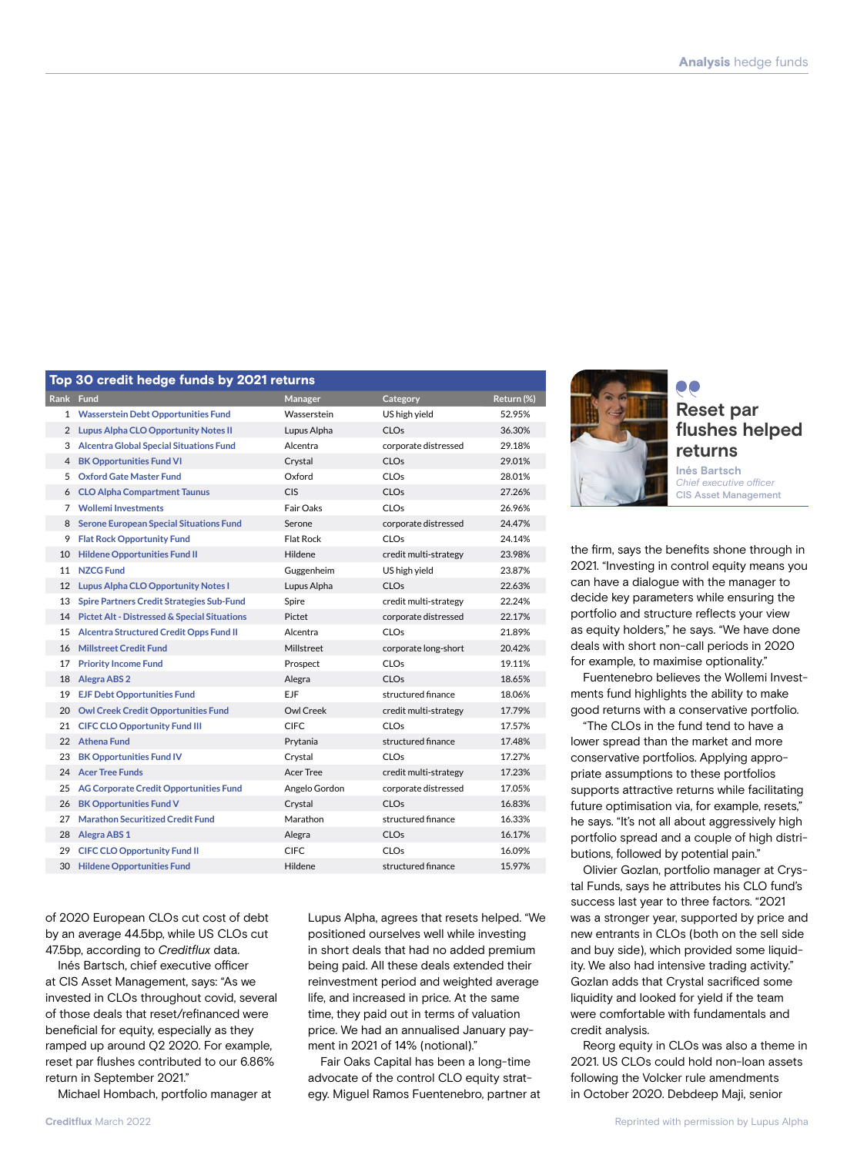|           | <b>so cream neage rands by EUL retains</b>       |                  |                       |            |  |
|-----------|--------------------------------------------------|------------------|-----------------------|------------|--|
| Rank Fund |                                                  | Manager          | Category              | Return (%) |  |
| 1         | <b>Wasserstein Debt Opportunities Fund</b>       | Wasserstein      | US high yield         | 52.95%     |  |
|           | 2 Lupus Alpha CLO Opportunity Notes II           | Lupus Alpha      | <b>CLOs</b>           | 36.30%     |  |
| 3         | <b>Alcentra Global Special Situations Fund</b>   | Alcentra         | corporate distressed  | 29.18%     |  |
| 4         | <b>BK Opportunities Fund VI</b>                  | Crystal          | <b>CLOs</b>           | 29.01%     |  |
| 5         | <b>Oxford Gate Master Fund</b>                   | Oxford           | <b>CLOs</b>           | 28.01%     |  |
| 6         | <b>CLO Alpha Compartment Taunus</b>              | <b>CIS</b>       | <b>CLOs</b>           | 27.26%     |  |
| 7         | <b>Wollemi Investments</b>                       | Fair Oaks        | <b>CLOs</b>           | 26.96%     |  |
| 8         | <b>Serone European Special Situations Fund</b>   | Serone           | corporate distressed  | 24.47%     |  |
| 9         | <b>Flat Rock Opportunity Fund</b>                | Flat Rock        | <b>CLOs</b>           | 24.14%     |  |
| 10        | <b>Hildene Opportunities Fund II</b>             | Hildene          | credit multi-strategy | 23.98%     |  |
| 11        | <b>NZCG Fund</b>                                 | Guggenheim       | US high yield         | 23.87%     |  |
| 12        | <b>Lupus Alpha CLO Opportunity Notes I</b>       | Lupus Alpha      | <b>CLOs</b>           | 22.63%     |  |
| 13        | <b>Spire Partners Credit Strategies Sub-Fund</b> | Spire            | credit multi-strategy | 22.24%     |  |
| 14        | Pictet Alt - Distressed & Special Situations     | Pictet           | corporate distressed  | 22.17%     |  |
| 15        | Alcentra Structured Credit Opps Fund II          | Alcentra         | <b>CLOs</b>           | 21.89%     |  |
| 16        | <b>Millstreet Credit Fund</b>                    | Millstreet       | corporate long-short  | 20.42%     |  |
| 17        | <b>Priority Income Fund</b>                      | Prospect         | <b>CLOs</b>           | 19.11%     |  |
| 18        | <b>Alegra ABS 2</b>                              | Alegra           | CLOs                  | 18.65%     |  |
| 19        | <b>EJF Debt Opportunities Fund</b>               | EJF              | structured finance    | 18.06%     |  |
| 20        | <b>Owl Creek Credit Opportunities Fund</b>       | <b>Owl Creek</b> | credit multi-strategy | 17.79%     |  |
| 21        | <b>CIFC CLO Opportunity Fund III</b>             | <b>CIFC</b>      | CLO <sub>s</sub>      | 17.57%     |  |
| 22        | <b>Athena Fund</b>                               | Prytania         | structured finance    | 17.48%     |  |
| 23        | <b>BK Opportunities Fund IV</b>                  | Crystal          | <b>CLOs</b>           | 17.27%     |  |
|           | 24 Acer Tree Funds                               | Acer Tree        | credit multi-strategy | 17.23%     |  |
| 25        | <b>AG Corporate Credit Opportunities Fund</b>    | Angelo Gordon    | corporate distressed  | 17.05%     |  |
| 26        | <b>BK Opportunities Fund V</b>                   | Crystal          | <b>CLOs</b>           | 16.83%     |  |
| 27        | <b>Marathon Securitized Credit Fund</b>          | Marathon         | structured finance    | 16.33%     |  |
| 28        | Alegra ABS 1                                     | Alegra           | <b>CLOs</b>           | 16.17%     |  |
| 29        | <b>CIFC CLO Opportunity Fund II</b>              | <b>CIFC</b>      | CLOs                  | 16.09%     |  |
| 30        | <b>Hildene Opportunities Fund</b>                | Hildene          | structured finance    | 15.97%     |  |
|           |                                                  |                  |                       |            |  |

of 2020 European CLOs cut cost of debt by an average 44.5bp, while US CLOs cut 47.5bp, according to *Creditflux* data.

Top 30 credit hedge funds by 2021 returns

Inés Bartsch, chief executive officer at CIS Asset Management, says: "As we invested in CLOs throughout covid, several of those deals that reset/refinanced were beneficial for equity, especially as they ramped up around Q2 2020. For example, reset par flushes contributed to our 6.86% return in September 2021."

Michael Hombach, portfolio manager at

Lupus Alpha, agrees that resets helped. "We positioned ourselves well while investing in short deals that had no added premium being paid. All these deals extended their reinvestment period and weighted average life, and increased in price. At the same time, they paid out in terms of valuation price. We had an annualised January payment in 2021 of 14% (notional)."

Fair Oaks Capital has been a long-time advocate of the control CLO equity strategy. Miguel Ramos Fuentenebro, partner at



## **Reset par flushes helped returns**

**Inés Bartsch** *Chief executive officer* CIS Asset Management

the firm, says the benefits shone through in 2021. "Investing in control equity means you can have a dialogue with the manager to decide key parameters while ensuring the portfolio and structure reflects your view as equity holders," he says. "We have done deals with short non-call periods in 2020 for example, to maximise optionality."

Fuentenebro believes the Wollemi Investments fund highlights the ability to make good returns with a conservative portfolio.

"The CLOs in the fund tend to have a lower spread than the market and more conservative portfolios. Applying appropriate assumptions to these portfolios supports attractive returns while facilitating future optimisation via, for example, resets," he says. "It's not all about aggressively high portfolio spread and a couple of high distributions, followed by potential pain."

Olivier Gozlan, portfolio manager at Crystal Funds, says he attributes his CLO fund's success last year to three factors. "2021 was a stronger year, supported by price and new entrants in CLOs (both on the sell side and buy side), which provided some liquidity. We also had intensive trading activity." Gozlan adds that Crystal sacrificed some liquidity and looked for yield if the team were comfortable with fundamentals and credit analysis.

Reorg equity in CLOs was also a theme in 2021. US CLOs could hold non-loan assets following the Volcker rule amendments in October 2020. Debdeep Maji, senior